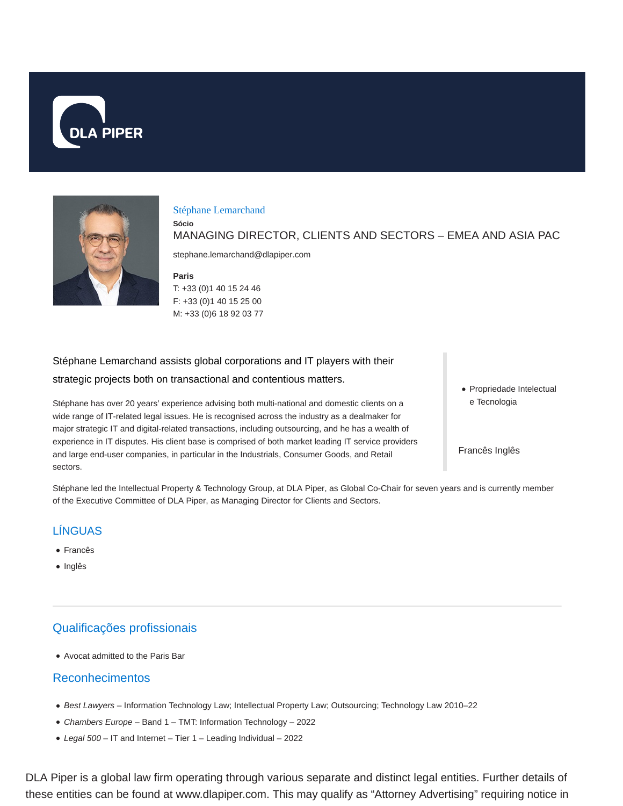



#### Stéphane Lemarchand

MANAGING DIRECTOR, CLIENTS AND SECTORS – EMEA AND ASIA PAC

stephane.lemarchand@dlapiper.com

**Paris**

**Sócio**

T: +33 (0)1 40 15 24 46 F: +33 (0)1 40 15 25 00 M: +33 (0)6 18 92 03 77

Stéphane Lemarchand assists global corporations and IT players with their strategic projects both on transactional and contentious matters.

Stéphane has over 20 years' experience advising both multi-national and domestic clients on a wide range of IT-related legal issues. He is recognised across the industry as a dealmaker for major strategic IT and digital-related transactions, including outsourcing, and he has a wealth of experience in IT disputes. His client base is comprised of both market leading IT service providers and large end-user companies, in particular in the Industrials, Consumer Goods, and Retail sectors.

• Propriedade Intelectual e Tecnologia

Francês Inglês

Stéphane led the Intellectual Property & Technology Group, at DLA Piper, as Global Co-Chair for seven years and is currently member of the Executive Committee of DLA Piper, as Managing Director for Clients and Sectors.

# LÍNGUAS

- Francês
- Inglês

## Qualificações profissionais

Avocat admitted to the Paris Bar

## Reconhecimentos

- Best Lawyers Information Technology Law; Intellectual Property Law; Outsourcing; Technology Law 2010–22
- Chambers Europe Band 1 TMT: Information Technology 2022
- Legal 500 IT and Internet Tier 1 Leading Individual 2022

DLA Piper is a global law firm operating through various separate and distinct legal entities. Further details of these entities can be found at www.dlapiper.com. This may qualify as "Attorney Advertising" requiring notice in